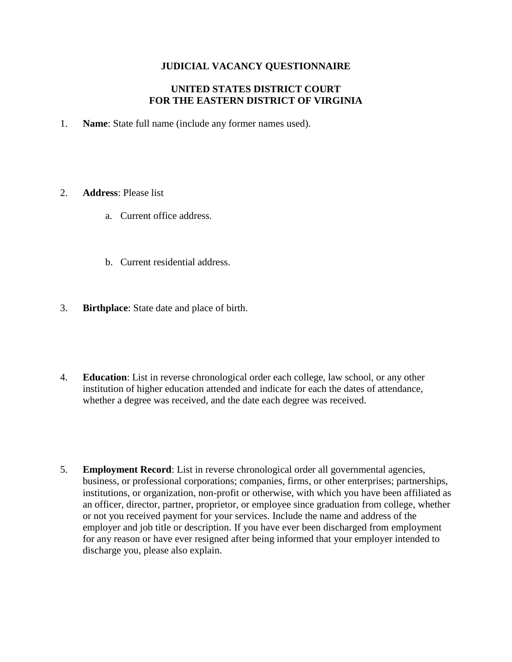# **JUDICIAL VACANCY QUESTIONNAIRE**

## **UNITED STATES DISTRICT COURT FOR THE EASTERN DISTRICT OF VIRGINIA**

- 1. **Name**: State full name (include any former names used).
- 2. **Address**: Please list
	- a. Current office address.
	- b. Current residential address.
- 3. **Birthplace**: State date and place of birth.
- 4. **Education**: List in reverse chronological order each college, law school, or any other institution of higher education attended and indicate for each the dates of attendance, whether a degree was received, and the date each degree was received.
- 5. **Employment Record**: List in reverse chronological order all governmental agencies, business, or professional corporations; companies, firms, or other enterprises; partnerships, institutions, or organization, non-profit or otherwise, with which you have been affiliated as an officer, director, partner, proprietor, or employee since graduation from college, whether or not you received payment for your services. Include the name and address of the employer and job title or description. If you have ever been discharged from employment for any reason or have ever resigned after being informed that your employer intended to discharge you, please also explain.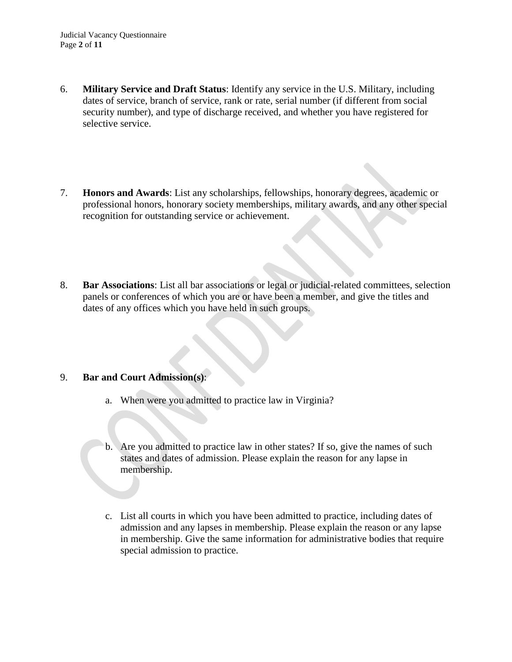- 6. **Military Service and Draft Status**: Identify any service in the U.S. Military, including dates of service, branch of service, rank or rate, serial number (if different from social security number), and type of discharge received, and whether you have registered for selective service.
- 7. **Honors and Awards**: List any scholarships, fellowships, honorary degrees, academic or professional honors, honorary society memberships, military awards, and any other special recognition for outstanding service or achievement.
- 8. **Bar Associations**: List all bar associations or legal or judicial-related committees, selection panels or conferences of which you are or have been a member, and give the titles and dates of any offices which you have held in such groups.

## 9. **Bar and Court Admission(s)**:

- a. When were you admitted to practice law in Virginia?
- b. Are you admitted to practice law in other states? If so, give the names of such states and dates of admission. Please explain the reason for any lapse in membership.
- c. List all courts in which you have been admitted to practice, including dates of admission and any lapses in membership. Please explain the reason or any lapse in membership. Give the same information for administrative bodies that require special admission to practice.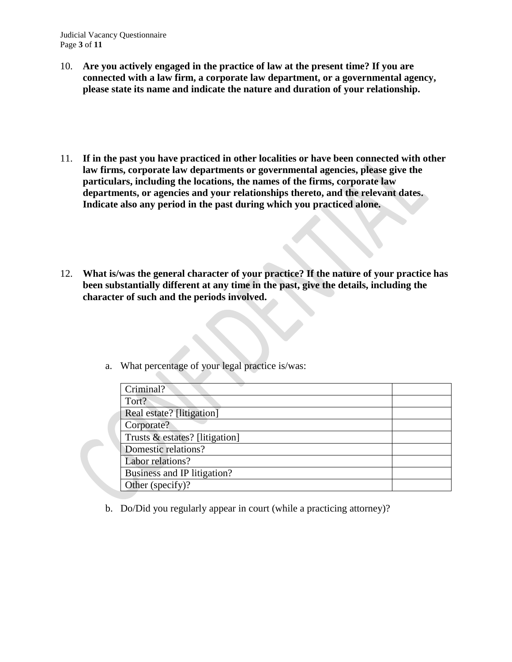Judicial Vacancy Questionnaire Page **3** of **11**

- 10. **Are you actively engaged in the practice of law at the present time? If you are connected with a law firm, a corporate law department, or a governmental agency, please state its name and indicate the nature and duration of your relationship.**
- 11. **If in the past you have practiced in other localities or have been connected with other law firms, corporate law departments or governmental agencies, please give the particulars, including the locations, the names of the firms, corporate law departments, or agencies and your relationships thereto, and the relevant dates. Indicate also any period in the past during which you practiced alone.**
- 12. **What is/was the general character of your practice? If the nature of your practice has been substantially different at any time in the past, give the details, including the character of such and the periods involved.**

- Criminal? Tort? Real estate? [litigation] Corporate? Trusts & estates? [litigation] Domestic relations? Labor relations? Business and IP litigation? Other (specify)?
- a. What percentage of your legal practice is/was:

b. Do/Did you regularly appear in court (while a practicing attorney)?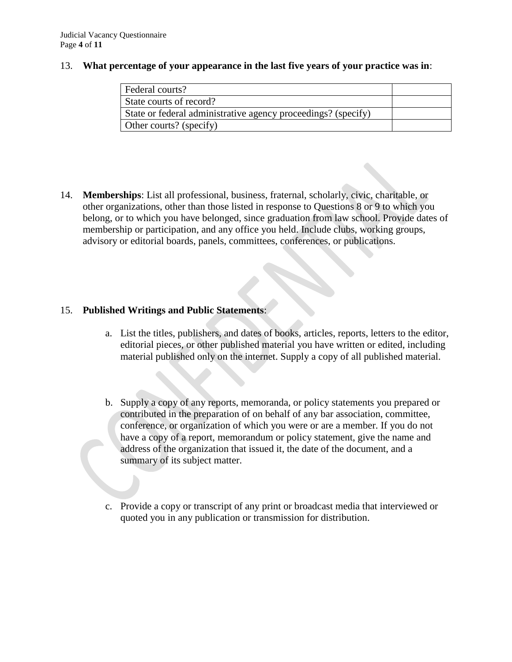#### 13. **What percentage of your appearance in the last five years of your practice was in**:

| Federal courts?                                               |  |
|---------------------------------------------------------------|--|
| State courts of record?                                       |  |
| State or federal administrative agency proceedings? (specify) |  |
| Other courts? (specify)                                       |  |

14. **Memberships**: List all professional, business, fraternal, scholarly, civic, charitable, or other organizations, other than those listed in response to Questions 8 or 9 to which you belong, or to which you have belonged, since graduation from law school. Provide dates of membership or participation, and any office you held. Include clubs, working groups, advisory or editorial boards, panels, committees, conferences, or publications.

# 15. **Published Writings and Public Statements**:

- a. List the titles, publishers, and dates of books, articles, reports, letters to the editor, editorial pieces, or other published material you have written or edited, including material published only on the internet. Supply a copy of all published material.
- b. Supply a copy of any reports, memoranda, or policy statements you prepared or contributed in the preparation of on behalf of any bar association, committee, conference, or organization of which you were or are a member. If you do not have a copy of a report, memorandum or policy statement, give the name and address of the organization that issued it, the date of the document, and a summary of its subject matter.
- c. Provide a copy or transcript of any print or broadcast media that interviewed or quoted you in any publication or transmission for distribution.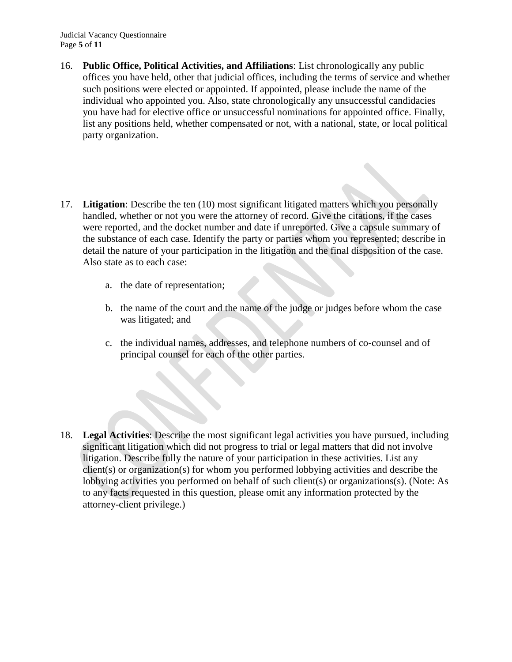Judicial Vacancy Questionnaire Page **5** of **11**

- 16. **Public Office, Political Activities, and Affiliations**: List chronologically any public offices you have held, other that judicial offices, including the terms of service and whether such positions were elected or appointed. If appointed, please include the name of the individual who appointed you. Also, state chronologically any unsuccessful candidacies you have had for elective office or unsuccessful nominations for appointed office. Finally, list any positions held, whether compensated or not, with a national, state, or local political party organization.
- 17. **Litigation**: Describe the ten (10) most significant litigated matters which you personally handled, whether or not you were the attorney of record. Give the citations, if the cases were reported, and the docket number and date if unreported. Give a capsule summary of the substance of each case. Identify the party or parties whom you represented; describe in detail the nature of your participation in the litigation and the final disposition of the case. Also state as to each case:
	- a. the date of representation;
	- b. the name of the court and the name of the judge or judges before whom the case was litigated; and
	- c. the individual names, addresses, and telephone numbers of co-counsel and of principal counsel for each of the other parties.

18. **Legal Activities**: Describe the most significant legal activities you have pursued, including significant litigation which did not progress to trial or legal matters that did not involve litigation. Describe fully the nature of your participation in these activities. List any client(s) or organization(s) for whom you performed lobbying activities and describe the lobbying activities you performed on behalf of such client(s) or organizations(s). (Note: As to any facts requested in this question, please omit any information protected by the attorney-client privilege.)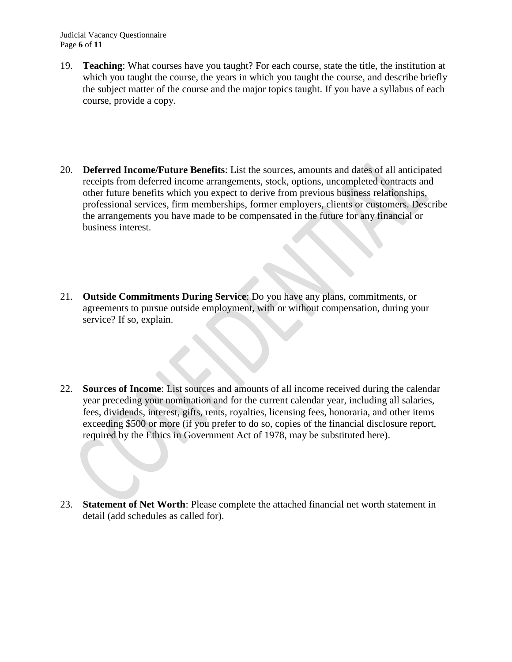Judicial Vacancy Questionnaire Page **6** of **11**

- 19. **Teaching**: What courses have you taught? For each course, state the title, the institution at which you taught the course, the years in which you taught the course, and describe briefly the subject matter of the course and the major topics taught. If you have a syllabus of each course, provide a copy.
- 20. **Deferred Income/Future Benefits**: List the sources, amounts and dates of all anticipated receipts from deferred income arrangements, stock, options, uncompleted contracts and other future benefits which you expect to derive from previous business relationships, professional services, firm memberships, former employers, clients or customers. Describe the arrangements you have made to be compensated in the future for any financial or business interest.
- 21. **Outside Commitments During Service**: Do you have any plans, commitments, or agreements to pursue outside employment, with or without compensation, during your service? If so, explain.
- 22. **Sources of Income**: List sources and amounts of all income received during the calendar year preceding your nomination and for the current calendar year, including all salaries, fees, dividends, interest, gifts, rents, royalties, licensing fees, honoraria, and other items exceeding \$500 or more (if you prefer to do so, copies of the financial disclosure report, required by the Ethics in Government Act of 1978, may be substituted here).
- 23. **Statement of Net Worth**: Please complete the attached financial net worth statement in detail (add schedules as called for).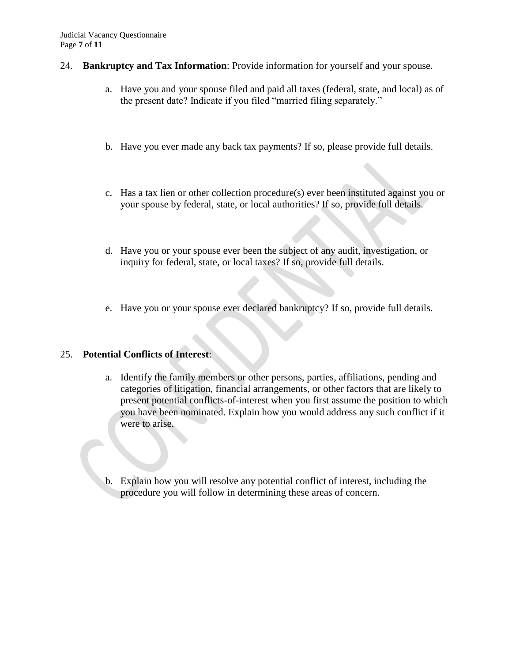#### 24. **Bankruptcy and Tax Information**: Provide information for yourself and your spouse.

- a. Have you and your spouse filed and paid all taxes (federal, state, and local) as of the present date? Indicate if you filed "married filing separately."
- b. Have you ever made any back tax payments? If so, please provide full details.
- c. Has a tax lien or other collection procedure(s) ever been instituted against you or your spouse by federal, state, or local authorities? If so, provide full details.
- d. Have you or your spouse ever been the subject of any audit, investigation, or inquiry for federal, state, or local taxes? If so, provide full details.
- e. Have you or your spouse ever declared bankruptcy? If so, provide full details.

## 25. **Potential Conflicts of Interest**:

- a. Identify the family members or other persons, parties, affiliations, pending and categories of litigation, financial arrangements, or other factors that are likely to present potential conflicts-of-interest when you first assume the position to which you have been nominated. Explain how you would address any such conflict if it were to arise.
- b. Explain how you will resolve any potential conflict of interest, including the procedure you will follow in determining these areas of concern.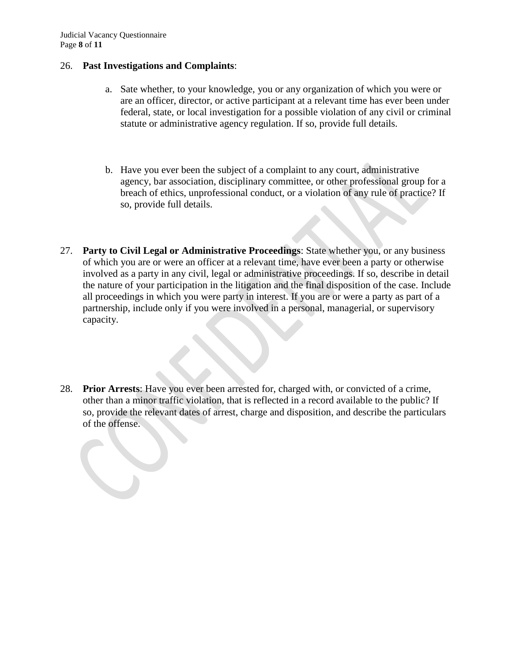#### 26. **Past Investigations and Complaints**:

- a. Sate whether, to your knowledge, you or any organization of which you were or are an officer, director, or active participant at a relevant time has ever been under federal, state, or local investigation for a possible violation of any civil or criminal statute or administrative agency regulation. If so, provide full details.
- b. Have you ever been the subject of a complaint to any court, administrative agency, bar association, disciplinary committee, or other professional group for a breach of ethics, unprofessional conduct, or a violation of any rule of practice? If so, provide full details.
- 27. **Party to Civil Legal or Administrative Proceedings**: State whether you, or any business of which you are or were an officer at a relevant time, have ever been a party or otherwise involved as a party in any civil, legal or administrative proceedings. If so, describe in detail the nature of your participation in the litigation and the final disposition of the case. Include all proceedings in which you were party in interest. If you are or were a party as part of a partnership, include only if you were involved in a personal, managerial, or supervisory capacity.
- 28. **Prior Arrests**: Have you ever been arrested for, charged with, or convicted of a crime, other than a minor traffic violation, that is reflected in a record available to the public? If so, provide the relevant dates of arrest, charge and disposition, and describe the particulars of the offense.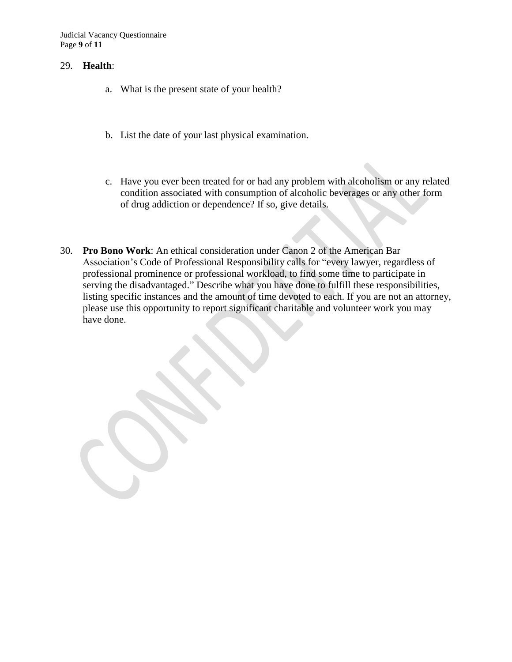Judicial Vacancy Questionnaire Page **9** of **11**

#### 29. **Health**:

- a. What is the present state of your health?
- b. List the date of your last physical examination.
- c. Have you ever been treated for or had any problem with alcoholism or any related condition associated with consumption of alcoholic beverages or any other form of drug addiction or dependence? If so, give details.
- 30. **Pro Bono Work**: An ethical consideration under Canon 2 of the American Bar Association's Code of Professional Responsibility calls for "every lawyer, regardless of professional prominence or professional workload, to find some time to participate in serving the disadvantaged." Describe what you have done to fulfill these responsibilities, listing specific instances and the amount of time devoted to each. If you are not an attorney, please use this opportunity to report significant charitable and volunteer work you may have done.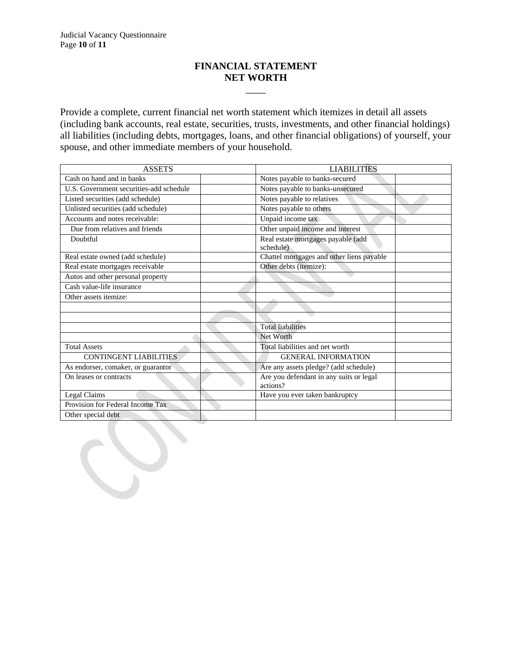# **FINANCIAL STATEMENT NET WORTH**

\_\_\_\_

Provide a complete, current financial net worth statement which itemizes in detail all assets (including bank accounts, real estate, securities, trusts, investments, and other financial holdings) all liabilities (including debts, mortgages, loans, and other financial obligations) of yourself, your spouse, and other immediate members of your household.

| <b>ASSETS</b>                           | <b>LIABILITIES</b>                                  |
|-----------------------------------------|-----------------------------------------------------|
| Cash on hand and in banks               | Notes payable to banks-secured                      |
| U.S. Government securities-add schedule | Notes payable to banks-unsecured                    |
| Listed securities (add schedule)        | Notes payable to relatives                          |
| Unlisted securities (add schedule)      | Notes payable to others                             |
| Accounts and notes receivable:          | Unpaid income tax                                   |
| Due from relatives and friends          | Other unpaid income and interest                    |
| Doubtful                                | Real estate mortgages payable (add<br>schedule)     |
| Real estate owned (add schedule)        | Chattel mortgages and other liens payable           |
| Real estate mortgages receivable        | Other debts (itemize):                              |
| Autos and other personal property       |                                                     |
| Cash value-life insurance               |                                                     |
| Other assets itemize:                   |                                                     |
|                                         |                                                     |
|                                         |                                                     |
|                                         | <b>Total liabilities</b>                            |
|                                         | Net Worth                                           |
| <b>Total Assets</b>                     | Total liabilities and net worth                     |
| <b>CONTINGENT LIABILITIES</b>           | <b>GENERAL INFORMATION</b>                          |
| As endorser, comaker, or guarantor      | Are any assets pledge? (add schedule)               |
| On leases or contracts                  | Are you defendant in any suits or legal<br>actions? |
| Legal Claims                            | Have you ever taken bankruptcy                      |
| Provision for Federal Income Tax        |                                                     |
| Other special debt                      |                                                     |
|                                         |                                                     |